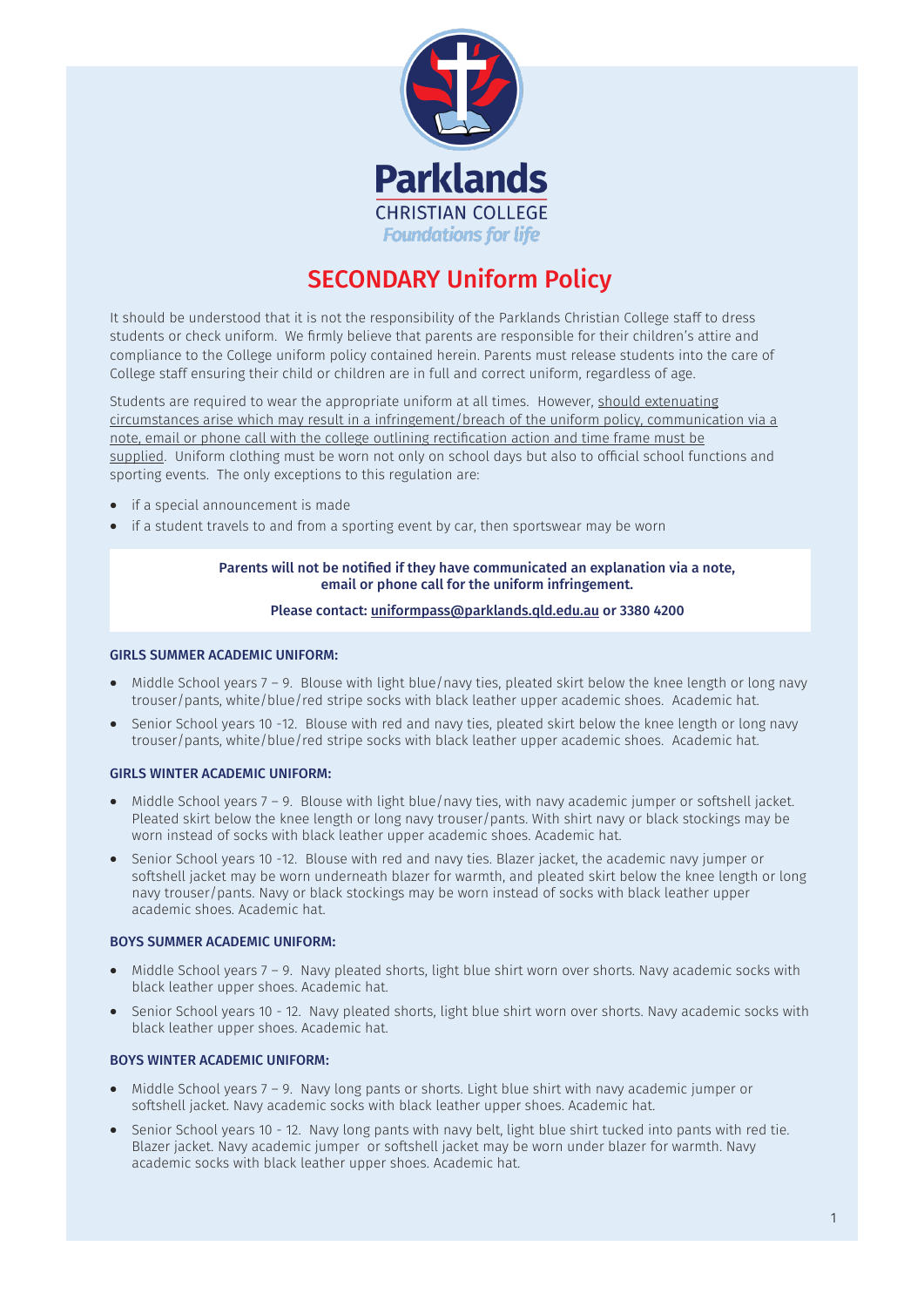

# SECONDARY Uniform Policy

It should be understood that it is not the responsibility of the Parklands Christian College staff to dress students or check uniform. We firmly believe that parents are responsible for their children's attire and compliance to the College uniform policy contained herein. Parents must release students into the care of College staff ensuring their child or children are in full and correct uniform, regardless of age.

Students are required to wear the appropriate uniform at all times. However, should extenuating circumstances arise which may result in a infringement/breach of the uniform policy, communication via a note, email or phone call with the college outlining rectification action and time frame must be supplied. Uniform clothing must be worn not only on school days but also to official school functions and sporting events. The only exceptions to this regulation are:

- if a special announcement is made
- if a student travels to and from a sporting event by car, then sportswear may be worn

## Parents will not be notified if they have communicated an explanation via a note, email or phone call for the uniform infringement.

## Please contact: [uniformpass@parklands.qld.edu.au](mailto:uniformpass@parklands.qld.edu.au) or 3380 4200

#### GIRLS SUMMER ACADEMIC UNIFORM:

- Middle School years 7 9. Blouse with light blue/navy ties, pleated skirt below the knee length or long navy trouser/pants, white/blue/red stripe socks with black leather upper academic shoes. Academic hat.
- Senior School years 10 -12. Blouse with red and navy ties, pleated skirt below the knee length or long navy trouser/pants, white/blue/red stripe socks with black leather upper academic shoes. Academic hat.

## GIRLS WINTER ACADEMIC UNIFORM:

- Middle School years 7 9. Blouse with light blue/navy ties, with navy academic jumper or softshell jacket. Pleated skirt below the knee length or long navy trouser/pants. With shirt navy or black stockings may be worn instead of socks with black leather upper academic shoes. Academic hat.
- Senior School years 10 -12. Blouse with red and navy ties. Blazer jacket, the academic navy jumper or softshell jacket may be worn underneath blazer for warmth, and pleated skirt below the knee length or long navy trouser/pants. Navy or black stockings may be worn instead of socks with black leather upper academic shoes. Academic hat.

#### BOYS SUMMER ACADEMIC UNIFORM:

- Middle School years 7 9. Navy pleated shorts, light blue shirt worn over shorts. Navy academic socks with black leather upper shoes. Academic hat.
- Senior School years 10 12. Navy pleated shorts, light blue shirt worn over shorts. Navy academic socks with black leather upper shoes. Academic hat.

#### BOYS WINTER ACADEMIC UNIFORM:

- Middle School years 7 9. Navy long pants or shorts. Light blue shirt with navy academic jumper or softshell jacket. Navy academic socks with black leather upper shoes. Academic hat.
- Senior School years 10 12. Navy long pants with navy belt, light blue shirt tucked into pants with red tie. Blazer jacket. Navy academic jumper or softshell jacket may be worn under blazer for warmth. Navy academic socks with black leather upper shoes. Academic hat.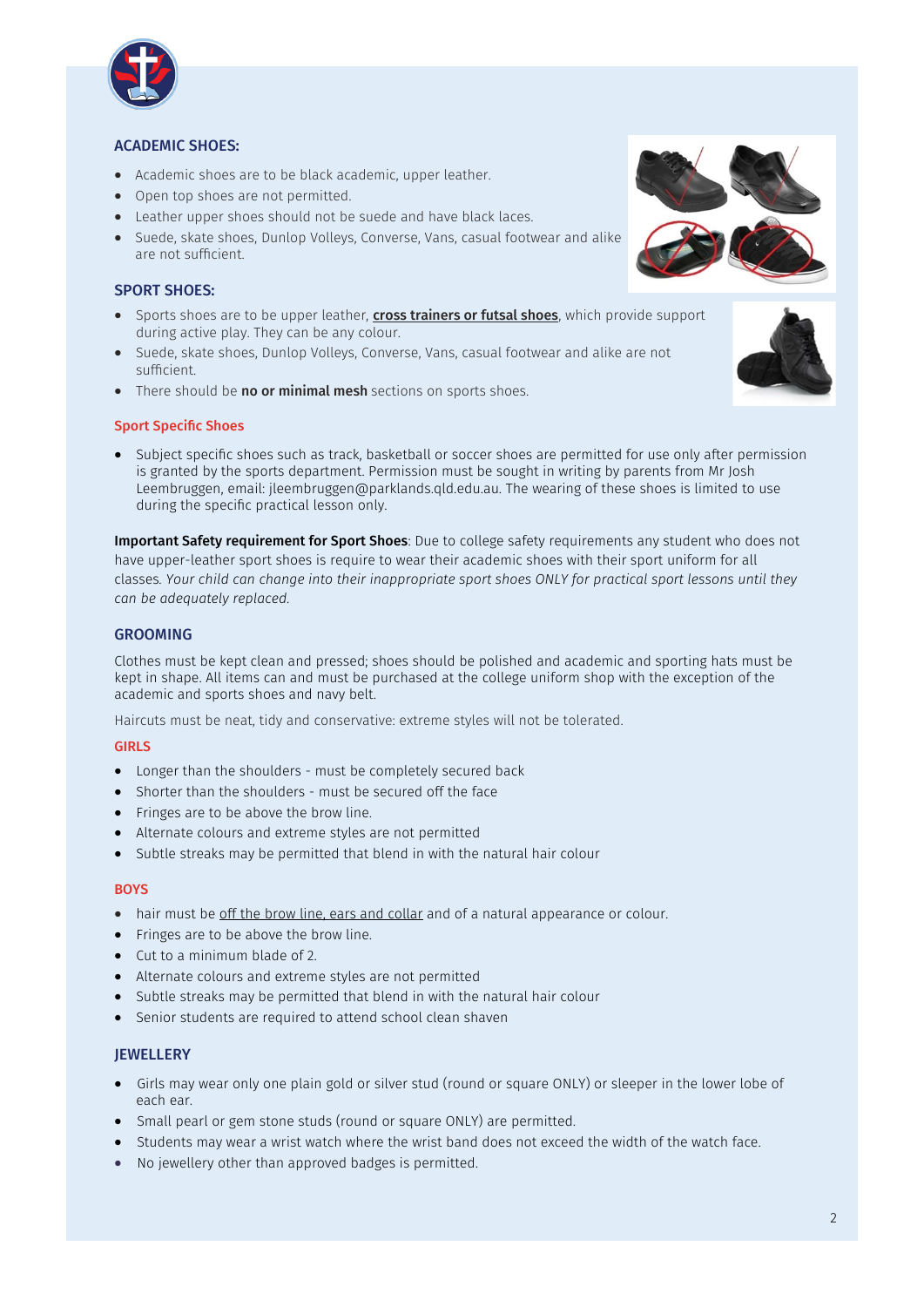

## ACADEMIC SHOES:

- Academic shoes are to be black academic, upper leather.
- Open top shoes are not permitted.
- Leather upper shoes should not be suede and have black laces.
- Suede, skate shoes, Dunlop Volleys, Converse, Vans, casual footwear and alike are not sufficient.

## SPORT SHOES:

- Sports shoes are to be upper leather, *cross trainers or futsal shoes*, which provide support during active play. They can be any colour.
- Suede, skate shoes, Dunlop Volleys, Converse, Vans, casual footwear and alike are not sufficient.
- There should be **no or minimal mesh** sections on sports shoes.

## Sport Specific Shoes

• Subject specific shoes such as track, basketball or soccer shoes are permitted for use only after permission is granted by the sports department. Permission must be sought in writing by parents from Mr Josh Leembruggen, email: jleembruggen@parklands.qld.edu.au. The wearing of these shoes is limited to use during the specific practical lesson only.

Important Safety requirement for Sport Shoes: Due to college safety requirements any student who does not have upper-leather sport shoes is require to wear their academic shoes with their sport uniform for all classes*. Your child can change into their inappropriate sport shoes ONLY for practical sport lessons until they can be adequately replaced.* 

## GROOMING

Clothes must be kept clean and pressed; shoes should be polished and academic and sporting hats must be kept in shape. All items can and must be purchased at the college uniform shop with the exception of the academic and sports shoes and navy belt.

Haircuts must be neat, tidy and conservative: extreme styles will not be tolerated.

## GIRLS

- Longer than the shoulders must be completely secured back
- Shorter than the shoulders must be secured off the face
- Fringes are to be above the brow line.
- Alternate colours and extreme styles are not permitted
- Subtle streaks may be permitted that blend in with the natural hair colour

#### **BOYS**

- hair must be off the brow line, ears and collar and of a natural appearance or colour.
- Fringes are to be above the brow line.
- Cut to a minimum blade of 2.
- Alternate colours and extreme styles are not permitted
- Subtle streaks may be permitted that blend in with the natural hair colour
- Senior students are required to attend school clean shaven

## **JEWELLERY**

- Girls may wear only one plain gold or silver stud (round or square ONLY) or sleeper in the lower lobe of each ear.
- Small pearl or gem stone studs (round or square ONLY) are permitted.
- Students may wear a wrist watch where the wrist band does not exceed the width of the watch face.
- No jewellery other than approved badges is permitted.

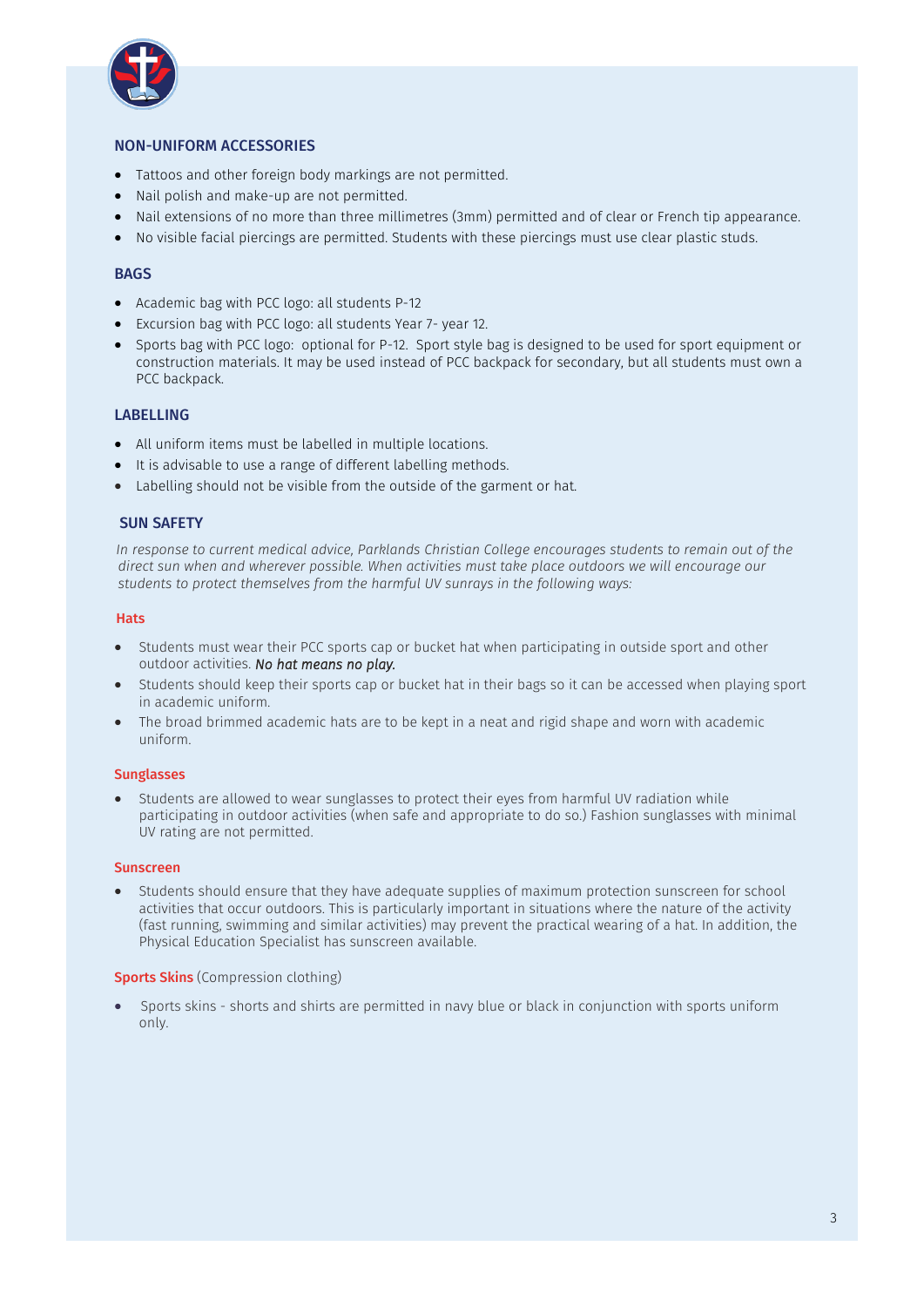

## NON-UNIFORM ACCESSORIES

- Tattoos and other foreign body markings are not permitted.
- Nail polish and make-up are not permitted.
- Nail extensions of no more than three millimetres (3mm) permitted and of clear or French tip appearance.
- No visible facial piercings are permitted. Students with these piercings must use clear plastic studs.

#### BAGS

- Academic bag with PCC logo: all students P-12
- Excursion bag with PCC logo: all students Year 7- year 12.
- Sports bag with PCC logo: optional for P-12. Sport style bag is designed to be used for sport equipment or construction materials. It may be used instead of PCC backpack for secondary, but all students must own a PCC backpack.

#### LABELLING

- All uniform items must be labelled in multiple locations.
- It is advisable to use a range of different labelling methods.
- Labelling should not be visible from the outside of the garment or hat.

## SUN SAFETY

*In response to current medical advice, Parklands Christian College encourages students to remain out of the direct sun when and wherever possible. When activities must take place outdoors we will encourage our students to protect themselves from the harmful UV sunrays in the following ways:*

#### Hats

- Students must wear their PCC sports cap or bucket hat when participating in outside sport and other outdoor activities. *No hat means no play.*
- Students should keep their sports cap or bucket hat in their bags so it can be accessed when playing sport in academic uniform.
- The broad brimmed academic hats are to be kept in a neat and rigid shape and worn with academic uniform.

## Sunglasses

• Students are allowed to wear sunglasses to protect their eyes from harmful UV radiation while participating in outdoor activities (when safe and appropriate to do so.) Fashion sunglasses with minimal UV rating are not permitted.

#### Sunscreen

• Students should ensure that they have adequate supplies of maximum protection sunscreen for school activities that occur outdoors. This is particularly important in situations where the nature of the activity (fast running, swimming and similar activities) may prevent the practical wearing of a hat. In addition, the Physical Education Specialist has sunscreen available.

#### **Sports Skins** (Compression clothing)

• Sports skins - shorts and shirts are permitted in navy blue or black in conjunction with sports uniform only.